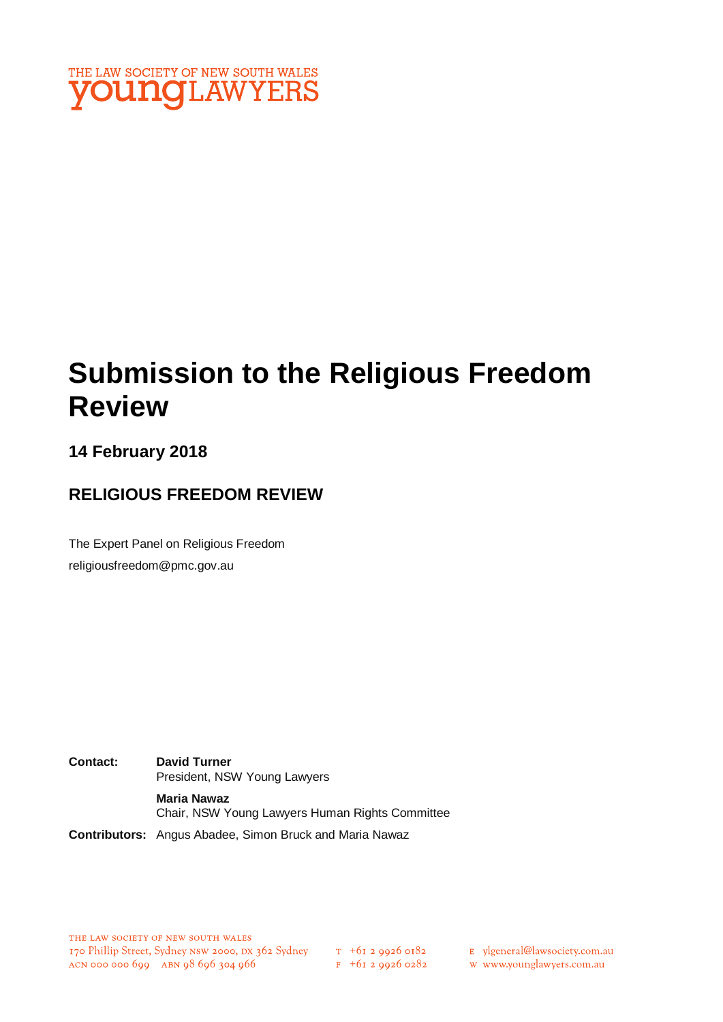

# **Submission to the Religious Freedom Review**

### **14 February 2018**

### **RELIGIOUS FREEDOM REVIEW**

The Expert Panel on Religious Freedom religiousfreedom@pmc.gov.au

**Contact: David Turner** President, NSW Young Lawyers **Maria Nawaz** Chair, NSW Young Lawyers Human Rights Committee

**Contributors:** Angus Abadee, Simon Bruck and Maria Nawaz

 $F + 6I$  2 9926 0282

E ylgeneral@lawsociety.com.au

w www.younglawyers.com.au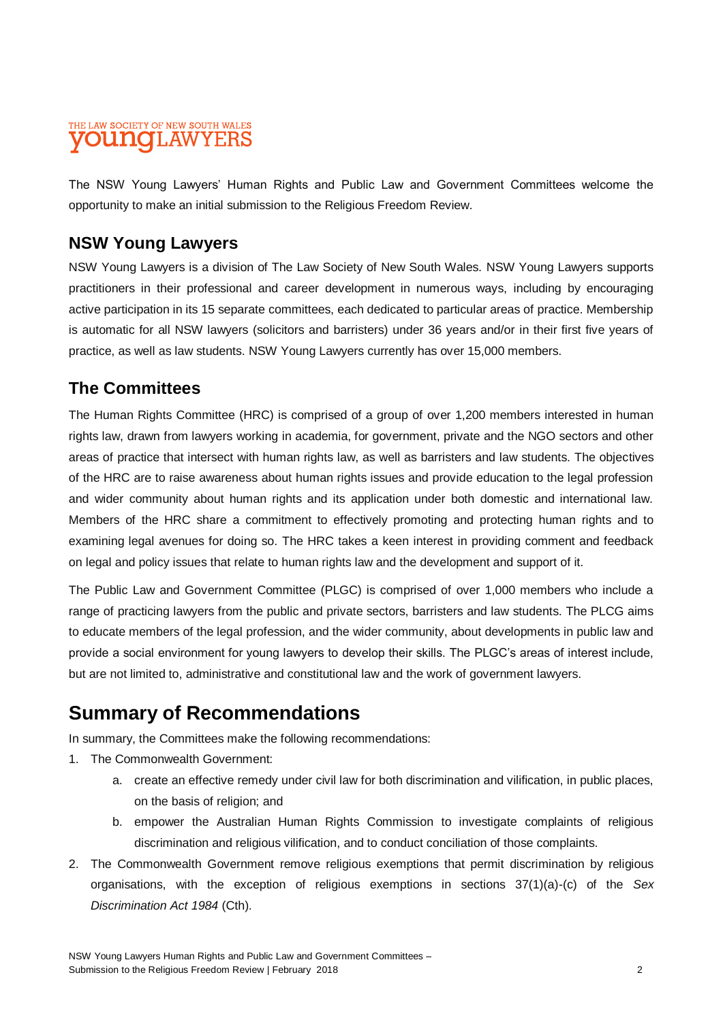#### THE LAW SOCIETY OF NEW SOUTH WALES **OUNOLAWYEI**

The NSW Young Lawyers' Human Rights and Public Law and Government Committees welcome the opportunity to make an initial submission to the Religious Freedom Review.

### **NSW Young Lawyers**

NSW Young Lawyers is a division of The Law Society of New South Wales. NSW Young Lawyers supports practitioners in their professional and career development in numerous ways, including by encouraging active participation in its 15 separate committees, each dedicated to particular areas of practice. Membership is automatic for all NSW lawyers (solicitors and barristers) under 36 years and/or in their first five years of practice, as well as law students. NSW Young Lawyers currently has over 15,000 members.

### **The Committees**

The Human Rights Committee (HRC) is comprised of a group of over 1,200 members interested in human rights law, drawn from lawyers working in academia, for government, private and the NGO sectors and other areas of practice that intersect with human rights law, as well as barristers and law students. The objectives of the HRC are to raise awareness about human rights issues and provide education to the legal profession and wider community about human rights and its application under both domestic and international law. Members of the HRC share a commitment to effectively promoting and protecting human rights and to examining legal avenues for doing so. The HRC takes a keen interest in providing comment and feedback on legal and policy issues that relate to human rights law and the development and support of it.

The Public Law and Government Committee (PLGC) is comprised of over 1,000 members who include a range of practicing lawyers from the public and private sectors, barristers and law students. The PLCG aims to educate members of the legal profession, and the wider community, about developments in public law and provide a social environment for young lawyers to develop their skills. The PLGC's areas of interest include, but are not limited to, administrative and constitutional law and the work of government lawyers.

# **Summary of Recommendations**

In summary, the Committees make the following recommendations:

- 1. The Commonwealth Government:
	- a. create an effective remedy under civil law for both discrimination and vilification, in public places, on the basis of religion; and
	- b. empower the Australian Human Rights Commission to investigate complaints of religious discrimination and religious vilification, and to conduct conciliation of those complaints.
- 2. The Commonwealth Government remove religious exemptions that permit discrimination by religious organisations, with the exception of religious exemptions in sections 37(1)(a)-(c) of the *Sex Discrimination Act 1984* (Cth).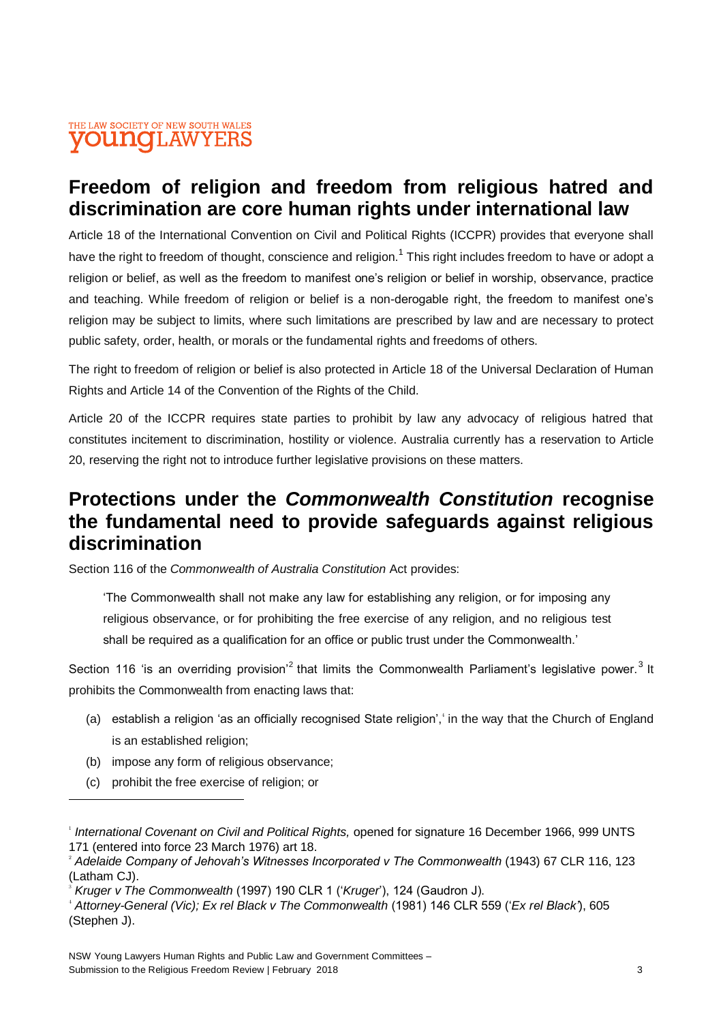# **Freedom of religion and freedom from religious hatred and discrimination are core human rights under international law**

Article 18 of the International Convention on Civil and Political Rights (ICCPR) provides that everyone shall have the right to freedom of thought, conscience and religion.<sup>1</sup> This right includes freedom to have or adopt a religion or belief, as well as the freedom to manifest one's religion or belief in worship, observance, practice and teaching. While freedom of religion or belief is a non-derogable right, the freedom to manifest one's religion may be subject to limits, where such limitations are prescribed by law and are necessary to protect public safety, order, health, or morals or the fundamental rights and freedoms of others.

The right to freedom of religion or belief is also protected in Article 18 of the Universal Declaration of Human Rights and Article 14 of the Convention of the Rights of the Child.

Article 20 of the ICCPR requires state parties to prohibit by law any advocacy of religious hatred that constitutes incitement to discrimination, hostility or violence. Australia currently has a reservation to Article 20, reserving the right not to introduce further legislative provisions on these matters.

# **Protections under the** *Commonwealth Constitution* **recognise the fundamental need to provide safeguards against religious discrimination**

Section 116 of the *Commonwealth of Australia Constitution* Act provides:

'The Commonwealth shall not make any law for establishing any religion, or for imposing any religious observance, or for prohibiting the free exercise of any religion, and no religious test shall be required as a qualification for an office or public trust under the Commonwealth.'

Section 116 'is an overriding provision<sup>2</sup> that limits the Commonwealth Parliament's legislative power.<sup>3</sup> It prohibits the Commonwealth from enacting laws that:

- (a) establish a religion 'as an officially recognised State religion',<sup>4</sup> in the way that the Church of England is an established religion:
- (b) impose any form of religious observance;
- (c) prohibit the free exercise of religion; or

<sup>&</sup>lt;sup>1</sup> International Covenant on Civil and Political Rights, opened for signature 16 December 1966, 999 UNTS 171 (entered into force 23 March 1976) art 18.

<sup>2</sup> *Adelaide Company of Jehovah's Witnesses Incorporated v The Commonwealth* (1943) 67 CLR 116, 123 (Latham CJ).

<sup>3</sup> *Kruger v The Commonwealth* (1997) 190 CLR 1 ('*Kruger*'), 124 (Gaudron J).

<sup>4</sup> *Attorney-General (Vic); Ex rel Black v The Commonwealth* (1981) 146 CLR 559 ('*Ex rel Black'*), 605 (Stephen J).

NSW Young Lawyers Human Rights and Public Law and Government Committees – Submission to the Religious Freedom Review | February 2018 33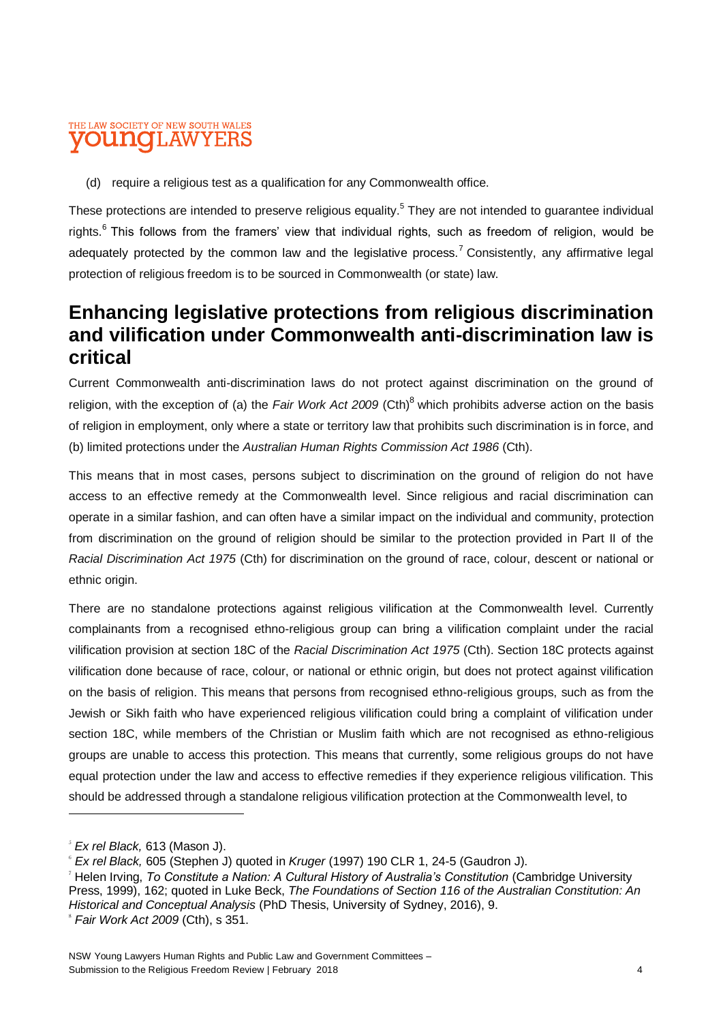#### THE LAW SOCIETY OF NEW SOUTH WALES ouno 'LAW

(d) require a religious test as a qualification for any Commonwealth office.

These protections are intended to preserve religious equality.<sup>5</sup> They are not intended to guarantee individual rights.<sup>6</sup> This follows from the framers' view that individual rights, such as freedom of religion, would be adequately protected by the common law and the legislative process.<sup>7</sup> Consistently, any affirmative legal protection of religious freedom is to be sourced in Commonwealth (or state) law.

### **Enhancing legislative protections from religious discrimination and vilification under Commonwealth anti-discrimination law is critical**

Current Commonwealth anti-discrimination laws do not protect against discrimination on the ground of religion, with the exception of (a) the *Fair Work Act 2009* (Cth)<sup>8</sup> which prohibits adverse action on the basis of religion in employment, only where a state or territory law that prohibits such discrimination is in force, and (b) limited protections under the *Australian Human Rights Commission Act 1986* (Cth).

This means that in most cases, persons subject to discrimination on the ground of religion do not have access to an effective remedy at the Commonwealth level. Since religious and racial discrimination can operate in a similar fashion, and can often have a similar impact on the individual and community, protection from discrimination on the ground of religion should be similar to the protection provided in Part II of the *Racial Discrimination Act 1975* (Cth) for discrimination on the ground of race, colour, descent or national or ethnic origin.

There are no standalone protections against religious vilification at the Commonwealth level. Currently complainants from a recognised ethno-religious group can bring a vilification complaint under the racial vilification provision at section 18C of the *Racial Discrimination Act 1975* (Cth). Section 18C protects against vilification done because of race, colour, or national or ethnic origin, but does not protect against vilification on the basis of religion. This means that persons from recognised ethno-religious groups, such as from the Jewish or Sikh faith who have experienced religious vilification could bring a complaint of vilification under section 18C, while members of the Christian or Muslim faith which are not recognised as ethno-religious groups are unable to access this protection. This means that currently, some religious groups do not have equal protection under the law and access to effective remedies if they experience religious vilification. This should be addressed through a standalone religious vilification protection at the Commonwealth level, to 

<sup>5</sup> *Ex rel Black,* 613 (Mason J).

<sup>6</sup> *Ex rel Black,* 605 (Stephen J) quoted in *Kruger* (1997) 190 CLR 1, 24-5 (Gaudron J).

<sup>7</sup> Helen Irving, *To Constitute a Nation: A Cultural History of Australia's Constitution* (Cambridge University Press, 1999), 162; quoted in Luke Beck, *The Foundations of Section 116 of the Australian Constitution: An Historical and Conceptual Analysis* (PhD Thesis, University of Sydney, 2016), 9.

<sup>8</sup> *Fair Work Act 2009* (Cth), s 351.

NSW Young Lawyers Human Rights and Public Law and Government Committees – Submission to the Religious Freedom Review | February 2018 4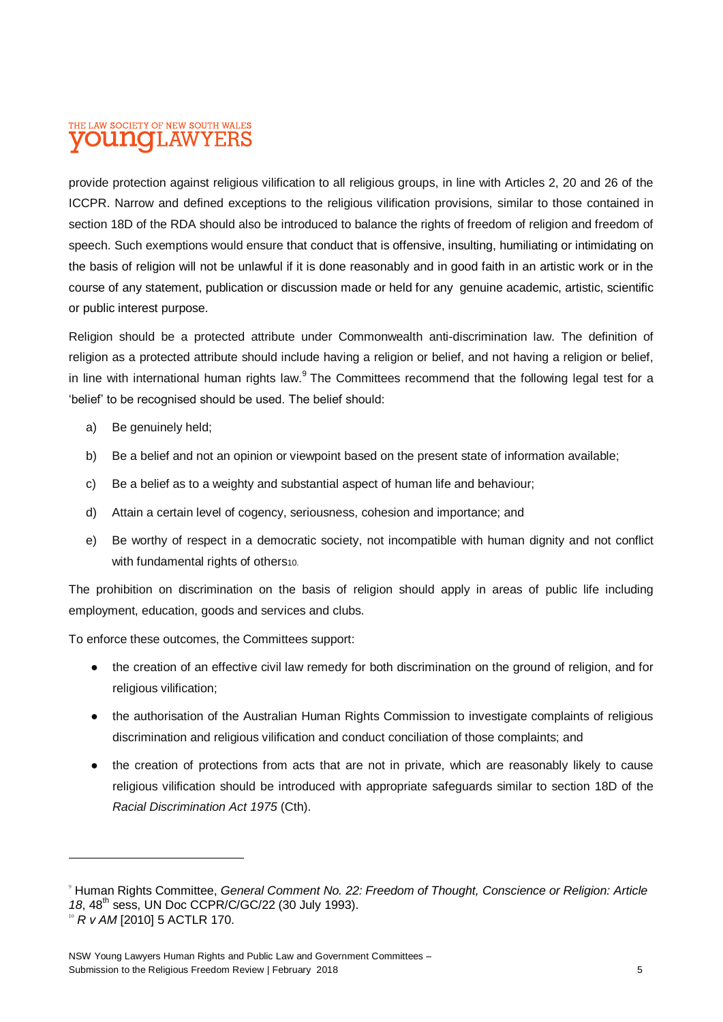#### THE LAW SOCIETY OF NEW SOUTH WALES 'LAW oidhaio

provide protection against religious vilification to all religious groups, in line with Articles 2, 20 and 26 of the ICCPR. Narrow and defined exceptions to the religious vilification provisions, similar to those contained in section 18D of the RDA should also be introduced to balance the rights of freedom of religion and freedom of speech. Such exemptions would ensure that conduct that is offensive, insulting, humiliating or intimidating on the basis of religion will not be unlawful if it is done reasonably and in good faith in an artistic work or in the course of any statement, publication or discussion made or held for any genuine academic, artistic, scientific or public interest purpose.

Religion should be a protected attribute under Commonwealth anti-discrimination law. The definition of religion as a protected attribute should include having a religion or belief, and not having a religion or belief, in line with international human rights law.<sup>9</sup> The Committees recommend that the following legal test for a 'belief' to be recognised should be used. The belief should:

- a) Be genuinely held;
- b) Be a belief and not an opinion or viewpoint based on the present state of information available;
- c) Be a belief as to a weighty and substantial aspect of human life and behaviour;
- d) Attain a certain level of cogency, seriousness, cohesion and importance; and
- e) Be worthy of respect in a democratic society, not incompatible with human dignity and not conflict with fundamental rights of others10.

The prohibition on discrimination on the basis of religion should apply in areas of public life including employment, education, goods and services and clubs.

To enforce these outcomes, the Committees support:

- the creation of an effective civil law remedy for both discrimination on the ground of religion, and for religious vilification;
- the authorisation of the Australian Human Rights Commission to investigate complaints of religious discrimination and religious vilification and conduct conciliation of those complaints; and
- the creation of protections from acts that are not in private, which are reasonably likely to cause religious vilification should be introduced with appropriate safeguards similar to section 18D of the *Racial Discrimination Act 1975* (Cth).

<sup>9</sup> Human Rights Committee, *General Comment No. 22: Freedom of Thought, Conscience or Religion: Article 18*, 48th sess, UN Doc CCPR/C/GC/22 (30 July 1993).

<sup>10</sup> *R v AM* [2010] 5 ACTLR 170.

NSW Young Lawyers Human Rights and Public Law and Government Committees – Submission to the Religious Freedom Review | February 2018 **5 5**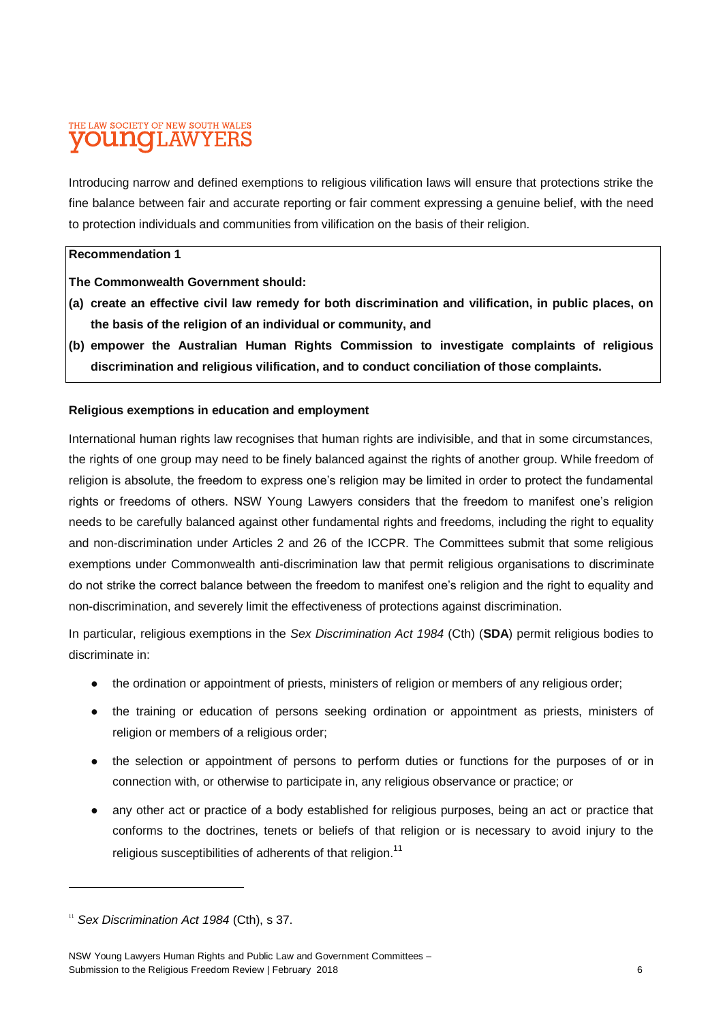#### THE LAW SOCIETY OF NEW SOUTH WALES **OUNCILAWYEI**

Introducing narrow and defined exemptions to religious vilification laws will ensure that protections strike the fine balance between fair and accurate reporting or fair comment expressing a genuine belief, with the need to protection individuals and communities from vilification on the basis of their religion.

#### **Recommendation 1**

**The Commonwealth Government should:**

- **(a) create an effective civil law remedy for both discrimination and vilification, in public places, on the basis of the religion of an individual or community, and**
- **(b) empower the Australian Human Rights Commission to investigate complaints of religious discrimination and religious vilification, and to conduct conciliation of those complaints.**

#### **Religious exemptions in education and employment**

International human rights law recognises that human rights are indivisible, and that in some circumstances, the rights of one group may need to be finely balanced against the rights of another group. While freedom of religion is absolute, the freedom to express one's religion may be limited in order to protect the fundamental rights or freedoms of others. NSW Young Lawyers considers that the freedom to manifest one's religion needs to be carefully balanced against other fundamental rights and freedoms, including the right to equality and non-discrimination under Articles 2 and 26 of the ICCPR. The Committees submit that some religious exemptions under Commonwealth anti-discrimination law that permit religious organisations to discriminate do not strike the correct balance between the freedom to manifest one's religion and the right to equality and non-discrimination, and severely limit the effectiveness of protections against discrimination.

In particular, religious exemptions in the *Sex Discrimination Act 1984* (Cth) (**SDA**) permit religious bodies to discriminate in:

- the ordination or appointment of priests, ministers of religion or members of any religious order;
- the training or education of persons seeking ordination or appointment as priests, ministers of religion or members of a religious order;
- the selection or appointment of persons to perform duties or functions for the purposes of or in connection with, or otherwise to participate in, any religious observance or practice; or
- any other act or practice of a body established for religious purposes, being an act or practice that conforms to the doctrines, tenets or beliefs of that religion or is necessary to avoid injury to the religious susceptibilities of adherents of that religion.<sup>11</sup>

l

<sup>&</sup>lt;sup>11</sup> Sex Discrimination Act 1984 (Cth), s 37.

NSW Young Lawyers Human Rights and Public Law and Government Committees – Submission to the Religious Freedom Review | February 2018 6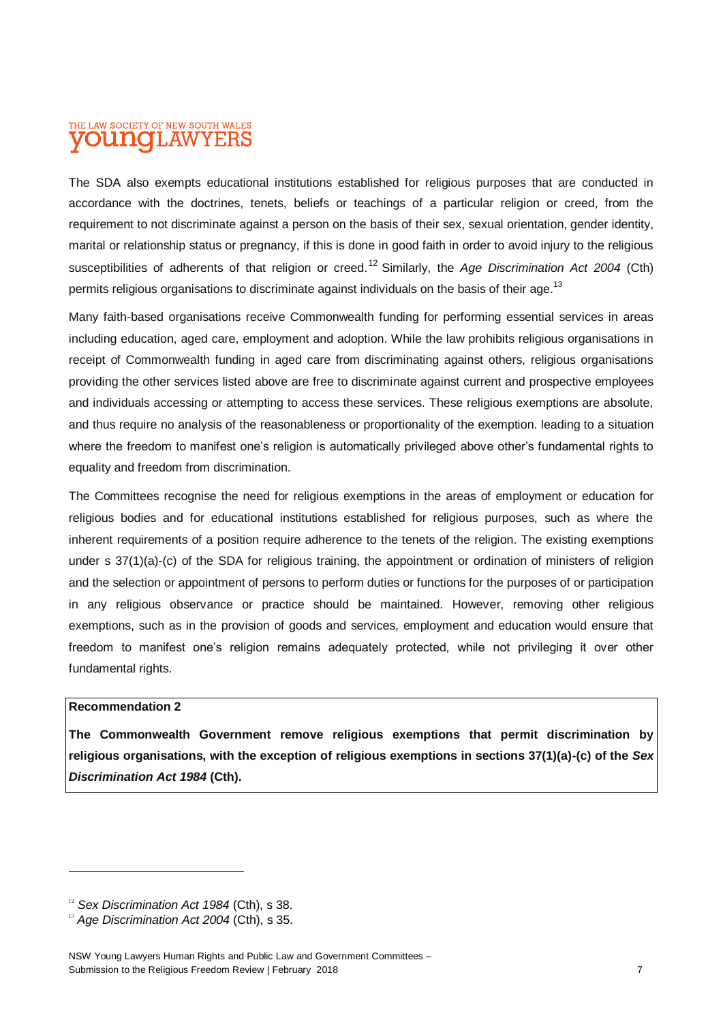#### THE LAW SOCIETY OF NEW SOUTH WALES oithaic 'LAW

The SDA also exempts educational institutions established for religious purposes that are conducted in accordance with the doctrines, tenets, beliefs or teachings of a particular religion or creed, from the requirement to not discriminate against a person on the basis of their sex, sexual orientation, gender identity, marital or relationship status or pregnancy, if this is done in good faith in order to avoid injury to the religious susceptibilities of adherents of that religion or creed.<sup>12</sup> Similarly, the *Age Discrimination Act 2004* (Cth) permits religious organisations to discriminate against individuals on the basis of their age.<sup>13</sup>

Many faith-based organisations receive Commonwealth funding for performing essential services in areas including education, aged care, employment and adoption. While the law prohibits religious organisations in receipt of Commonwealth funding in aged care from discriminating against others, religious organisations providing the other services listed above are free to discriminate against current and prospective employees and individuals accessing or attempting to access these services. These religious exemptions are absolute, and thus require no analysis of the reasonableness or proportionality of the exemption. leading to a situation where the freedom to manifest one's religion is automatically privileged above other's fundamental rights to equality and freedom from discrimination.

The Committees recognise the need for religious exemptions in the areas of employment or education for religious bodies and for educational institutions established for religious purposes, such as where the inherent requirements of a position require adherence to the tenets of the religion. The existing exemptions under s 37(1)(a)-(c) of the SDA for religious training, the appointment or ordination of ministers of religion and the selection or appointment of persons to perform duties or functions for the purposes of or participation in any religious observance or practice should be maintained. However, removing other religious exemptions, such as in the provision of goods and services, employment and education would ensure that freedom to manifest one's religion remains adequately protected, while not privileging it over other fundamental rights.

#### **Recommendation 2**

**The Commonwealth Government remove religious exemptions that permit discrimination by religious organisations, with the exception of religious exemptions in sections 37(1)(a)-(c) of the** *Sex Discrimination Act 1984* **(Cth).** 

<sup>&</sup>lt;sup>12</sup> *Sex Discrimination Act 1984* (Cth), s 38.

<sup>&</sup>lt;sup>13</sup> Age Discrimination Act 2004 (Cth), s 35.

NSW Young Lawyers Human Rights and Public Law and Government Committees – Submission to the Religious Freedom Review | February 2018 7